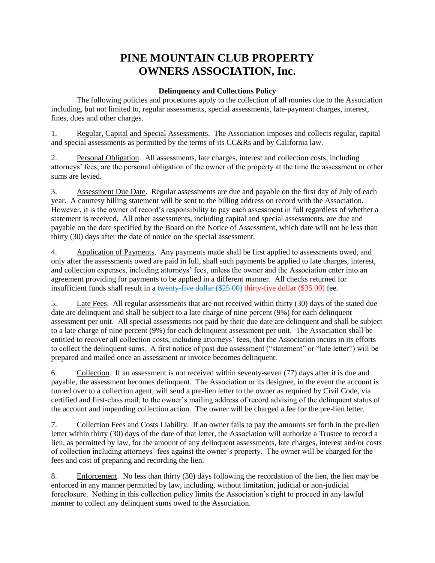# **PINE MOUNTAIN CLUB PROPERTY OWNERS ASSOCIATION, Inc.**

## **Delinquency and Collections Policy**

The following policies and procedures apply to the collection of all monies due to the Association including, but not limited to, regular assessments, special assessments, late-payment charges, interest, fines, dues and other charges.

1. Regular, Capital and Special Assessments. The Association imposes and collects regular, capital and special assessments as permitted by the terms of its CC&Rs and by California law.

2. Personal Obligation. All assessments, late charges, interest and collection costs, including attorneys' fees, are the personal obligation of the owner of the property at the time the assessment or other sums are levied.

3. Assessment Due Date. Regular assessments are due and payable on the first day of July of each year. A courtesy billing statement will be sent to the billing address on record with the Association. However, it is the owner of record's responsibility to pay each assessment in full regardless of whether a statement is received. All other assessments, including capital and special assessments, are due and payable on the date specified by the Board on the Notice of Assessment, which date will not be less than thirty (30) days after the date of notice on the special assessment.

4. Application of Payments. Any payments made shall be first applied to assessments owed, and only after the assessments owed are paid in full, shall such payments be applied to late charges, interest, and collection expenses, including attorneys' fees, unless the owner and the Association enter into an agreement providing for payments to be applied in a different manner. All checks returned for insufficient funds shall result in a twenty-five dollar (\$25.00) thirty-five dollar (\$35.00) fee.

5. Late Fees. All regular assessments that are not received within thirty (30) days of the stated due date are delinquent and shall be subject to a late charge of nine percent (9%) for each delinquent assessment per unit. All special assessments not paid by their due date are delinquent and shall be subject to a late charge of nine percent (9%) for each delinquent assessment per unit. The Association shall be entitled to recover all collection costs, including attorneys' fees, that the Association incurs in its efforts to collect the delinquent sums. A first notice of past due assessment ("statement" or "late letter") will be prepared and mailed once an assessment or invoice becomes delinquent.

6. Collection. If an assessment is not received within seventy-seven (77) days after it is due and payable, the assessment becomes delinquent. The Association or its designee, in the event the account is turned over to a collection agent, will send a pre-lien letter to the owner as required by Civil Code, via certified and first-class mail, to the owner's mailing address of record advising of the delinquent status of the account and impending collection action. The owner will be charged a fee for the pre-lien letter.

7. Collection Fees and Costs Liability. If an owner fails to pay the amounts set forth in the pre-lien letter within thirty (30) days of the date of that letter, the Association will authorize a Trustee to record a lien, as permitted by law, for the amount of any delinquent assessments, late charges, interest and/or costs of collection including attorneys' fees against the owner's property. The owner will be charged for the fees and cost of preparing and recording the lien.

8. Enforcement. No less than thirty (30) days following the recordation of the lien, the lien may be enforced in any manner permitted by law, including, without limitation, judicial or non-judicial foreclosure. Nothing in this collection policy limits the Association's right to proceed in any lawful manner to collect any delinquent sums owed to the Association.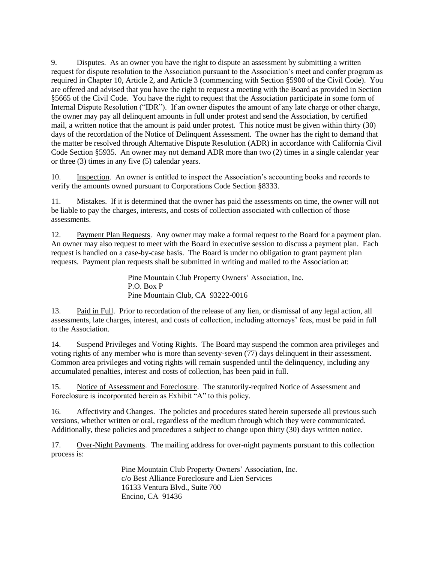9. Disputes. As an owner you have the right to dispute an assessment by submitting a written request for dispute resolution to the Association pursuant to the Association's meet and confer program as required in Chapter 10, Article 2, and Article 3 (commencing with Section §5900 of the Civil Code). You are offered and advised that you have the right to request a meeting with the Board as provided in Section §5665 of the Civil Code. You have the right to request that the Association participate in some form of Internal Dispute Resolution ("IDR"). If an owner disputes the amount of any late charge or other charge, the owner may pay all delinquent amounts in full under protest and send the Association, by certified mail, a written notice that the amount is paid under protest. This notice must be given within thirty (30) days of the recordation of the Notice of Delinquent Assessment. The owner has the right to demand that the matter be resolved through Alternative Dispute Resolution (ADR) in accordance with California Civil Code Section §5935. An owner may not demand ADR more than two (2) times in a single calendar year or three (3) times in any five (5) calendar years.

10. Inspection. An owner is entitled to inspect the Association's accounting books and records to verify the amounts owned pursuant to Corporations Code Section §8333.

11. Mistakes. If it is determined that the owner has paid the assessments on time, the owner will not be liable to pay the charges, interests, and costs of collection associated with collection of those assessments.

12. Payment Plan Requests. Any owner may make a formal request to the Board for a payment plan. An owner may also request to meet with the Board in executive session to discuss a payment plan. Each request is handled on a case-by-case basis. The Board is under no obligation to grant payment plan requests. Payment plan requests shall be submitted in writing and mailed to the Association at:

> Pine Mountain Club Property Owners' Association, Inc. P.O. Box P Pine Mountain Club, CA 93222-0016

13. Paid in Full. Prior to recordation of the release of any lien, or dismissal of any legal action, all assessments, late charges, interest, and costs of collection, including attorneys' fees, must be paid in full to the Association.

14. Suspend Privileges and Voting Rights. The Board may suspend the common area privileges and voting rights of any member who is more than seventy-seven (77) days delinquent in their assessment. Common area privileges and voting rights will remain suspended until the delinquency, including any accumulated penalties, interest and costs of collection, has been paid in full.

15. Notice of Assessment and Foreclosure. The statutorily-required Notice of Assessment and Foreclosure is incorporated herein as Exhibit "A" to this policy.

16. Affectivity and Changes. The policies and procedures stated herein supersede all previous such versions, whether written or oral, regardless of the medium through which they were communicated. Additionally, these policies and procedures a subject to change upon thirty (30) days written notice.

17. Over-Night Payments. The mailing address for over-night payments pursuant to this collection process is:

> Pine Mountain Club Property Owners' Association, Inc. c/o Best Alliance Foreclosure and Lien Services 16133 Ventura Blvd., Suite 700 Encino, CA 91436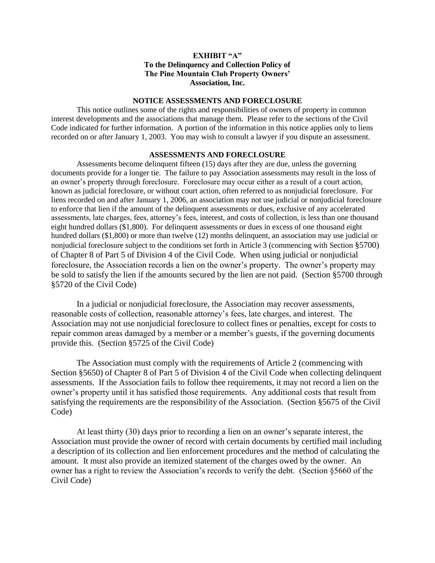## **EXHIBIT "A" To the Delinquency and Collection Policy of The Pine Mountain Club Property Owners' Association, Inc.**

#### **NOTICE ASSESSMENTS AND FORECLOSURE**

This notice outlines some of the rights and responsibilities of owners of property in common interest developments and the associations that manage them. Please refer to the sections of the Civil Code indicated for further information. A portion of the information in this notice applies only to liens recorded on or after January 1, 2003. You may wish to consult a lawyer if you dispute an assessment.

#### **ASSESSMENTS AND FORECLOSURE**

Assessments become delinquent fifteen (15) days after they are due, unless the governing documents provide for a longer tie. The failure to pay Association assessments may result in the loss of an owner's property through foreclosure. Foreclosure may occur either as a result of a court action, known as judicial foreclosure, or without court action, often referred to as nonjudicial foreclosure. For liens recorded on and after January 1, 2006, an association may not use judicial or nonjudicial foreclosure to enforce that lien if the amount of the delinquent assessments or dues, exclusive of any accelerated assessments, late charges, fees, attorney's fees, interest, and costs of collection, is less than one thousand eight hundred dollars (\$1,800). For delinquent assessments or dues in excess of one thousand eight hundred dollars (\$1,800) or more than twelve (12) months delinquent, an association may use judicial or nonjudicial foreclosure subject to the conditions set forth in Article 3 (commencing with Section §5700) of Chapter 8 of Part 5 of Division 4 of the Civil Code. When using judicial or nonjudicial foreclosure, the Association records a lien on the owner's property. The owner's property may be sold to satisfy the lien if the amounts secured by the lien are not paid. (Section §5700 through §5720 of the Civil Code)

In a judicial or nonjudicial foreclosure, the Association may recover assessments, reasonable costs of collection, reasonable attorney's fees, late charges, and interest. The Association may not use nonjudicial foreclosure to collect fines or penalties, except for costs to repair common areas damaged by a member or a member's guests, if the governing documents provide this. (Section §5725 of the Civil Code)

The Association must comply with the requirements of Article 2 (commencing with Section §5650) of Chapter 8 of Part 5 of Division 4 of the Civil Code when collecting delinquent assessments. If the Association fails to follow thee requirements, it may not record a lien on the owner's property until it has satisfied those requirements. Any additional costs that result from satisfying the requirements are the responsibility of the Association. (Section §5675 of the Civil Code)

At least thirty (30) days prior to recording a lien on an owner's separate interest, the Association must provide the owner of record with certain documents by certified mail including a description of its collection and lien enforcement procedures and the method of calculating the amount. It must also provide an itemized statement of the charges owed by the owner. An owner has a right to review the Association's records to verify the debt. (Section §5660 of the Civil Code)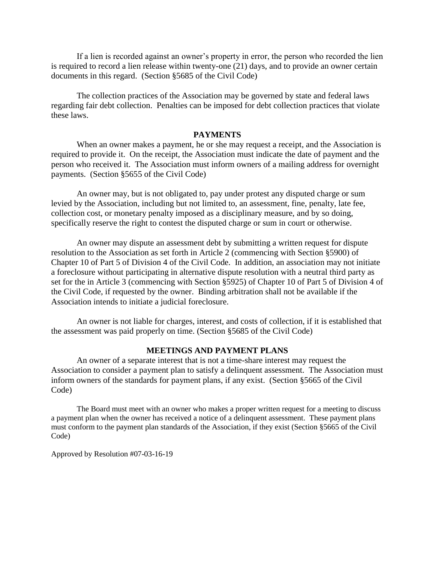If a lien is recorded against an owner's property in error, the person who recorded the lien is required to record a lien release within twenty-one (21) days, and to provide an owner certain documents in this regard. (Section §5685 of the Civil Code)

The collection practices of the Association may be governed by state and federal laws regarding fair debt collection. Penalties can be imposed for debt collection practices that violate these laws.

## **PAYMENTS**

When an owner makes a payment, he or she may request a receipt, and the Association is required to provide it. On the receipt, the Association must indicate the date of payment and the person who received it. The Association must inform owners of a mailing address for overnight payments. (Section §5655 of the Civil Code)

An owner may, but is not obligated to, pay under protest any disputed charge or sum levied by the Association, including but not limited to, an assessment, fine, penalty, late fee, collection cost, or monetary penalty imposed as a disciplinary measure, and by so doing, specifically reserve the right to contest the disputed charge or sum in court or otherwise.

An owner may dispute an assessment debt by submitting a written request for dispute resolution to the Association as set forth in Article 2 (commencing with Section §5900) of Chapter 10 of Part 5 of Division 4 of the Civil Code. In addition, an association may not initiate a foreclosure without participating in alternative dispute resolution with a neutral third party as set for the in Article 3 (commencing with Section §5925) of Chapter 10 of Part 5 of Division 4 of the Civil Code, if requested by the owner. Binding arbitration shall not be available if the Association intends to initiate a judicial foreclosure.

An owner is not liable for charges, interest, and costs of collection, if it is established that the assessment was paid properly on time. (Section §5685 of the Civil Code)

## **MEETINGS AND PAYMENT PLANS**

An owner of a separate interest that is not a time-share interest may request the Association to consider a payment plan to satisfy a delinquent assessment. The Association must inform owners of the standards for payment plans, if any exist. (Section §5665 of the Civil Code)

The Board must meet with an owner who makes a proper written request for a meeting to discuss a payment plan when the owner has received a notice of a delinquent assessment. These payment plans must conform to the payment plan standards of the Association, if they exist (Section §5665 of the Civil Code)

Approved by Resolution #07-03-16-19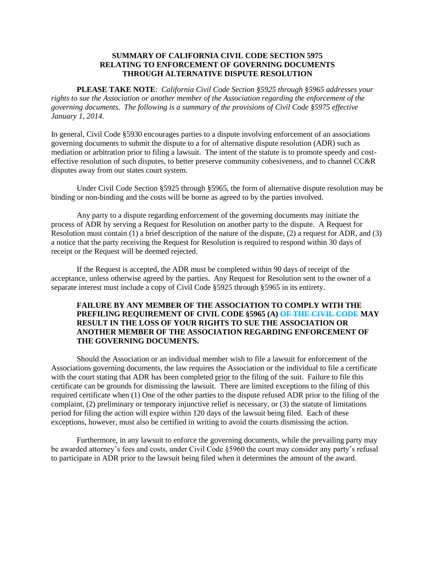## **SUMMARY OF CALIFORNIA CIVIL CODE SECTION 5975 RELATING TO ENFORCEMENT OF GOVERNING DOCUMENTS THROUGH ALTERNATIVE DISPUTE RESOLUTION**

**PLEASE TAKE NOTE**: *California Civil Code Section §5925 through §5965 addresses your rights to sue the Association or another member of the Association regarding the enforcement of the governing documents. The following is a summary of the provisions of Civil Code §5975 effective January 1, 2014.*

In general, Civil Code §5930 encourages parties to a dispute involving enforcement of an associations governing documents to submit the dispute to a for of alternative dispute resolution (ADR) such as mediation or arbitration prior to filing a lawsuit. The intent of the statute is to promote speedy and costeffective resolution of such disputes, to better preserve community cohesiveness, and to channel CC&R disputes away from our states court system.

Under Civil Code Section §5925 through §5965, the form of alternative dispute resolution may be binding or non-binding and the costs will be borne as agreed to by the parties involved.

Any party to a dispute regarding enforcement of the governing documents may initiate the process of ADR by serving a Request for Resolution on another party to the dispute. A Request for Resolution must contain (1) a brief description of the nature of the dispute, (2) a request for ADR, and (3) a notice that the party receiving the Request for Resolution is required to respond within 30 days of receipt or the Request will be deemed rejected.

If the Request is accepted, the ADR must be completed within 90 days of receipt of the acceptance, unless otherwise agreed by the parties. Any Request for Resolution sent to the owner of a separate interest must include a copy of Civil Code §5925 through §5965 in its entirety.

## **FAILURE BY ANY MEMBER OF THE ASSOCIATION TO COMPLY WITH THE PREFILING REQUIREMENT OF CIVIL CODE §5965 (A) OF THE CIVIL CODE MAY RESULT IN THE LOSS OF YOUR RIGHTS TO SUE THE ASSOCIATION OR ANOTHER MEMBER OF THE ASSOCIATION REGARDING ENFORCEMENT OF THE GOVERNING DOCUMENTS.**

Should the Association or an individual member wish to file a lawsuit for enforcement of the Associations governing documents, the law requires the Association or the individual to file a certificate with the court stating that ADR has been completed prior to the filing of the suit. Failure to file this certificate can be grounds for dismissing the lawsuit. There are limited exceptions to the filing of this required certificate when (1) One of the other parties to the dispute refused ADR prior to the filing of the complaint, (2) preliminary or temporary injunctive relief is necessary, or (3) the statute of limitations period for filing the action will expire within 120 days of the lawsuit being filed. Each of these exceptions, however, must also be certified in writing to avoid the courts dismissing the action.

Furthermore, in any lawsuit to enforce the governing documents, while the prevailing party may be awarded attorney's fees and costs, under Civil Code §5960 the court may consider any party's refusal to participate in ADR prior to the lawsuit being filed when it determines the amount of the award.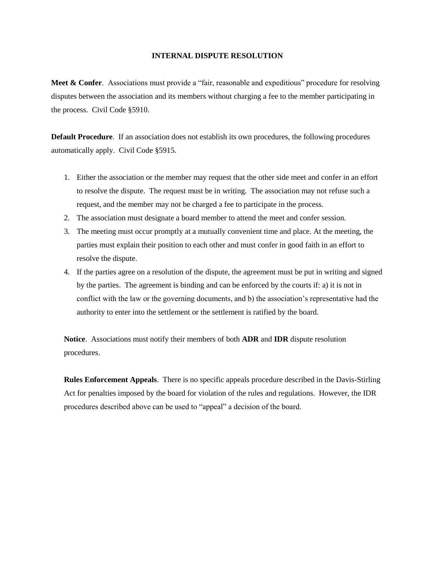#### **INTERNAL DISPUTE RESOLUTION**

**Meet & Confer**. Associations must provide a "fair, reasonable and expeditious" procedure for resolving disputes between the association and its members without charging a fee to the member participating in the process. Civil Code §5910.

**Default Procedure**. If an association does not establish its own procedures, the following procedures automatically apply. Civil Code §5915.

- 1. Either the association or the member may request that the other side meet and confer in an effort to resolve the dispute. The request must be in writing. The association may not refuse such a request, and the member may not be charged a fee to participate in the process.
- 2. The association must designate a board member to attend the meet and confer session.
- 3. The meeting must occur promptly at a mutually convenient time and place. At the meeting, the parties must explain their position to each other and must confer in good faith in an effort to resolve the dispute.
- 4. If the parties agree on a resolution of the dispute, the agreement must be put in writing and signed by the parties. The agreement is binding and can be enforced by the courts if: a) it is not in conflict with the law or the governing documents, and b) the association's representative had the authority to enter into the settlement or the settlement is ratified by the board.

**Notice**. Associations must notify their members of both **ADR** and **IDR** dispute resolution procedures.

**Rules Enforcement Appeals**. There is no specific appeals procedure described in the Davis-Stirling Act for penalties imposed by the board for violation of the rules and regulations. However, the IDR procedures described above can be used to "appeal" a decision of the board.